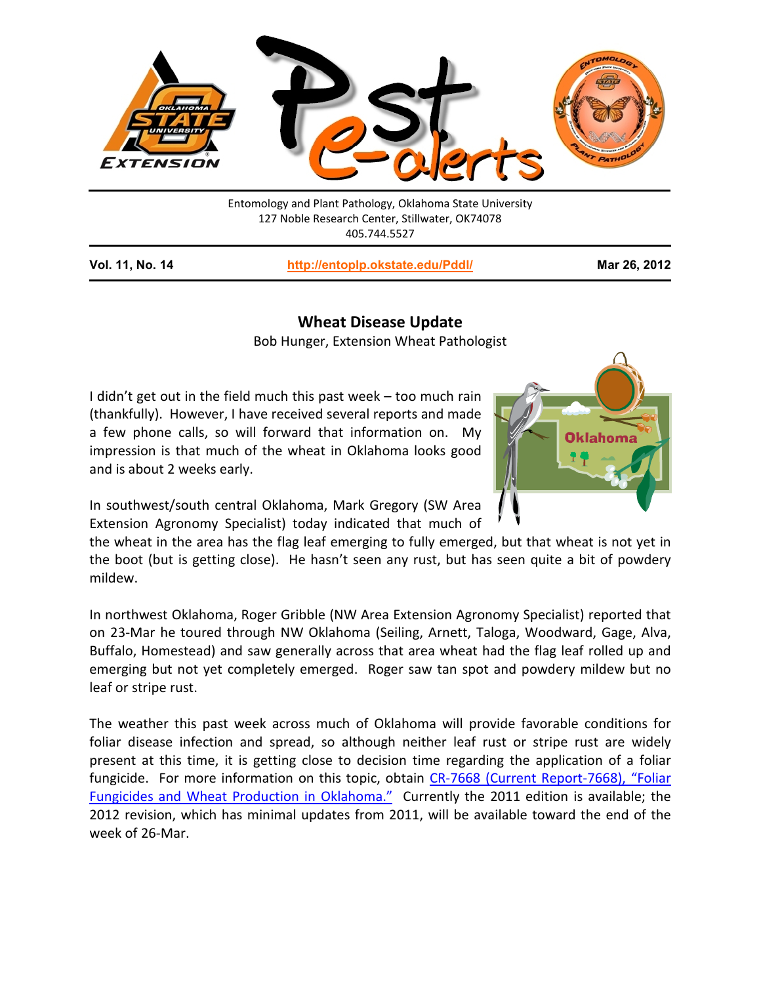

Entomology and Plant Pathology, Oklahoma State University 127 Noble Research Center, Stillwater, OK74078 405.744.5527

**Vol. 11, No. 14 <http://entoplp.okstate.edu/Pddl/> Mar 26, 2012**

## **Wheat Disease Update**

Bob Hunger, Extension Wheat Pathologist

I didn't get out in the field much this past week – too much rain (thankfully). However, I have received several reports and made a few phone calls, so will forward that information on. My impression is that much of the wheat in Oklahoma looks good and is about 2 weeks early.



In southwest/south central Oklahoma, Mark Gregory (SW Area Extension Agronomy Specialist) today indicated that much of

the wheat in the area has the flag leaf emerging to fully emerged, but that wheat is not yet in the boot (but is getting close). He hasn't seen any rust, but has seen quite a bit of powdery mildew.

In northwest Oklahoma, Roger Gribble (NW Area Extension Agronomy Specialist) reported that on 23-Mar he toured through NW Oklahoma (Seiling, Arnett, Taloga, Woodward, Gage, Alva, Buffalo, Homestead) and saw generally across that area wheat had the flag leaf rolled up and emerging but not yet completely emerged. Roger saw tan spot and powdery mildew but no leaf or stripe rust.

The weather this past week across much of Oklahoma will provide favorable conditions for foliar disease infection and spread, so although neither leaf rust or stripe rust are widely present at this time, it is getting close to decision time regarding the application of a foliar fungicide. For more information on this topic, obtain [CR-7668 \(Current Report-7668\), "Foliar](http://pods.dasnr.okstate.edu/docushare/dsweb/Get/Document-4987/CR-7668web.pdf)  [Fungicides and Wheat Production in Oklahoma."](http://pods.dasnr.okstate.edu/docushare/dsweb/Get/Document-4987/CR-7668web.pdf) Currently the 2011 edition is available; the 2012 revision, which has minimal updates from 2011, will be available toward the end of the week of 26-Mar.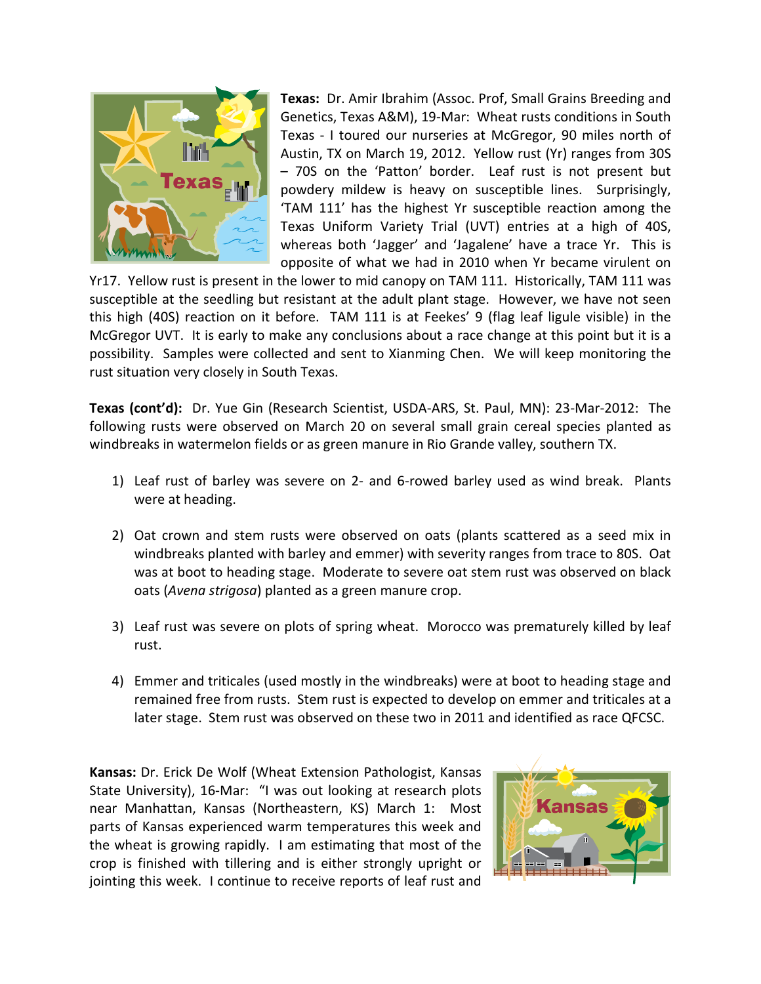

**Texas:** Dr. Amir Ibrahim (Assoc. Prof, Small Grains Breeding and Genetics, Texas A&M), 19-Mar: Wheat rusts conditions in South Texas - I toured our nurseries at McGregor, 90 miles north of Austin, TX on March 19, 2012. Yellow rust (Yr) ranges from 30S – 70S on the 'Patton' border. Leaf rust is not present but powdery mildew is heavy on susceptible lines. Surprisingly, 'TAM 111' has the highest Yr susceptible reaction among the Texas Uniform Variety Trial (UVT) entries at a high of 40S, whereas both 'Jagger' and 'Jagalene' have a trace Yr. This is opposite of what we had in 2010 when Yr became virulent on

Yr17. Yellow rust is present in the lower to mid canopy on TAM 111. Historically, TAM 111 was susceptible at the seedling but resistant at the adult plant stage. However, we have not seen this high (40S) reaction on it before. TAM 111 is at Feekes' 9 (flag leaf ligule visible) in the McGregor UVT. It is early to make any conclusions about a race change at this point but it is a possibility. Samples were collected and sent to Xianming Chen. We will keep monitoring the rust situation very closely in South Texas.

**Texas (cont'd):** Dr. Yue Gin (Research Scientist, USDA-ARS, St. Paul, MN): 23-Mar-2012: The following rusts were observed on March 20 on several small grain cereal species planted as windbreaks in watermelon fields or as green manure in Rio Grande valley, southern TX.

- 1) Leaf rust of barley was severe on 2- and 6-rowed barley used as wind break. Plants were at heading.
- 2) Oat crown and stem rusts were observed on oats (plants scattered as a seed mix in windbreaks planted with barley and emmer) with severity ranges from trace to 80S. Oat was at boot to heading stage. Moderate to severe oat stem rust was observed on black oats (*Avena strigosa*) planted as a green manure crop.
- 3) Leaf rust was severe on plots of spring wheat. Morocco was prematurely killed by leaf rust.
- 4) Emmer and triticales (used mostly in the windbreaks) were at boot to heading stage and remained free from rusts. Stem rust is expected to develop on emmer and triticales at a later stage. Stem rust was observed on these two in 2011 and identified as race QFCSC.

**Kansas:** Dr. Erick De Wolf (Wheat Extension Pathologist, Kansas State University), 16-Mar: "I was out looking at research plots near Manhattan, Kansas (Northeastern, KS) March 1: Most parts of Kansas experienced warm temperatures this week and the wheat is growing rapidly. I am estimating that most of the crop is finished with tillering and is either strongly upright or jointing this week. I continue to receive reports of leaf rust and